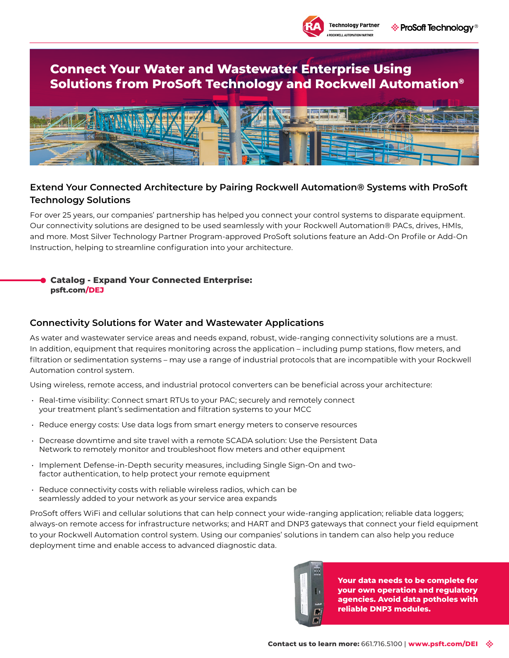

# **Connect Your Water and Wastewater Enterprise Using Solutions from ProSoft Technology and Rockwell Automation®**



## **Extend Your Connected Architecture by Pairing Rockwell Automation® Systems with ProSoft Technology Solutions**

For over 25 years, our companies' partnership has helped you connect your control systems to disparate equipment. Our connectivity solutions are designed to be used seamlessly with your Rockwell Automation® PACs, drives, HMIs, and more. Most Silver Technology Partner Program-approved ProSoft solutions feature an Add-On Profile or Add-On Instruction, helping to streamline configuration into your architecture.

#### **[Catalog - Expand Your Connected Enterprise:](http://psft.com/DEJ) psft.com/DEJ**

## **Connectivity Solutions for Water and Wastewater Applications**

As water and wastewater service areas and needs expand, robust, wide-ranging connectivity solutions are a must. In addition, equipment that requires monitoring across the application – including pump stations, flow meters, and filtration or sedimentation systems – may use a range of industrial protocols that are incompatible with your Rockwell Automation control system.

Using wireless, remote access, and industrial protocol converters can be beneficial across your architecture:

- Real-time visibility: Connect smart RTUs to your PAC; securely and remotely connect your treatment plant's sedimentation and filtration systems to your MCC
- Reduce energy costs: Use data logs from smart energy meters to conserve resources
- Decrease downtime and site travel with a remote SCADA solution: Use the Persistent Data Network to remotely monitor and troubleshoot flow meters and other equipment
- Implement Defense-in-Depth security measures, including Single Sign-On and twofactor authentication, to help protect your remote equipment
- Reduce connectivity costs with reliable wireless radios, which can be seamlessly added to your network as your service area expands

ProSoft offers WiFi and cellular solutions that can help connect your wide-ranging application; reliable data loggers; always-on remote access for infrastructure networks; and HART and DNP3 gateways that connect your field equipment to your Rockwell Automation control system. Using our companies' solutions in tandem can also help you reduce deployment time and enable access to advanced diagnostic data.



**Your data needs to be complete for your own operation and regulatory agencies. Avoid data potholes with reliable DNP3 modules.**